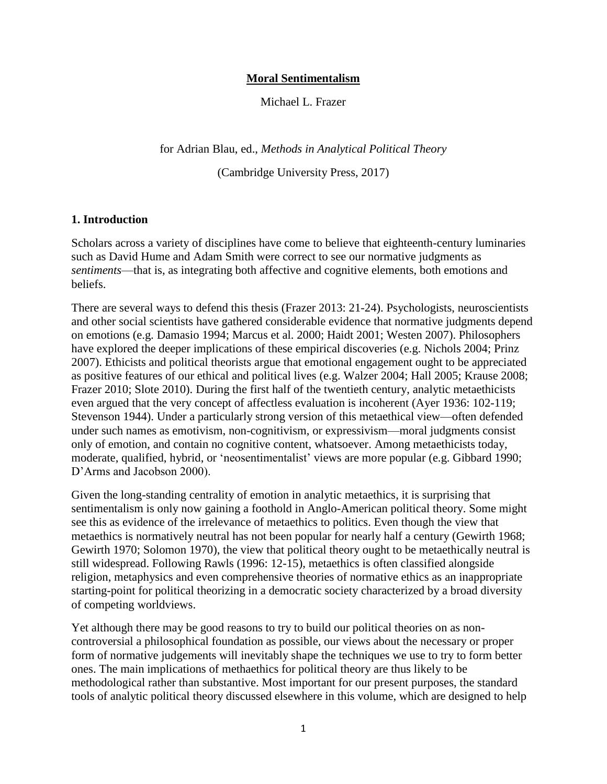### **Moral Sentimentalism**

Michael L. Frazer

for Adrian Blau, ed., *Methods in Analytical Political Theory* 

(Cambridge University Press, 2017)

### **1. Introduction**

Scholars across a variety of disciplines have come to believe that eighteenth-century luminaries such as David Hume and Adam Smith were correct to see our normative judgments as *sentiments*—that is, as integrating both affective and cognitive elements, both emotions and beliefs.

There are several ways to defend this thesis (Frazer 2013: 21-24). Psychologists, neuroscientists and other social scientists have gathered considerable evidence that normative judgments depend on emotions (e.g. Damasio 1994; Marcus et al. 2000; Haidt 2001; Westen 2007). Philosophers have explored the deeper implications of these empirical discoveries (e.g. Nichols 2004; Prinz 2007). Ethicists and political theorists argue that emotional engagement ought to be appreciated as positive features of our ethical and political lives (e.g. Walzer 2004; Hall 2005; Krause 2008; Frazer 2010; Slote 2010). During the first half of the twentieth century, analytic metaethicists even argued that the very concept of affectless evaluation is incoherent (Ayer 1936: 102-119; Stevenson 1944). Under a particularly strong version of this metaethical view—often defended under such names as emotivism, non-cognitivism, or expressivism—moral judgments consist only of emotion, and contain no cognitive content, whatsoever. Among metaethicists today, moderate, qualified, hybrid, or 'neosentimentalist' views are more popular (e.g. Gibbard 1990; D'Arms and Jacobson 2000).

Given the long-standing centrality of emotion in analytic metaethics, it is surprising that sentimentalism is only now gaining a foothold in Anglo-American political theory. Some might see this as evidence of the irrelevance of metaethics to politics. Even though the view that metaethics is normatively neutral has not been popular for nearly half a century (Gewirth 1968; Gewirth 1970; Solomon 1970), the view that political theory ought to be metaethically neutral is still widespread. Following Rawls (1996: 12-15), metaethics is often classified alongside religion, metaphysics and even comprehensive theories of normative ethics as an inappropriate starting-point for political theorizing in a democratic society characterized by a broad diversity of competing worldviews.

Yet although there may be good reasons to try to build our political theories on as noncontroversial a philosophical foundation as possible, our views about the necessary or proper form of normative judgements will inevitably shape the techniques we use to try to form better ones. The main implications of methaethics for political theory are thus likely to be methodological rather than substantive. Most important for our present purposes, the standard tools of analytic political theory discussed elsewhere in this volume, which are designed to help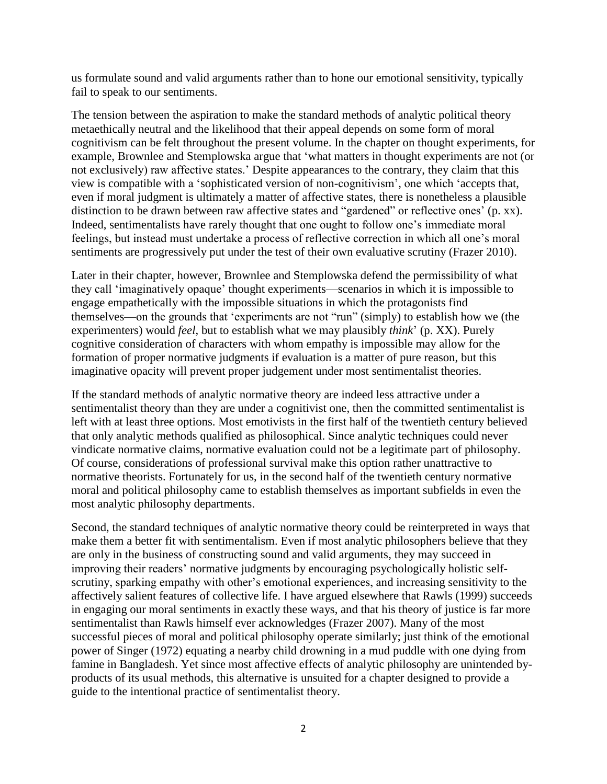us formulate sound and valid arguments rather than to hone our emotional sensitivity, typically fail to speak to our sentiments.

The tension between the aspiration to make the standard methods of analytic political theory metaethically neutral and the likelihood that their appeal depends on some form of moral cognitivism can be felt throughout the present volume. In the chapter on thought experiments, for example, Brownlee and Stemplowska argue that 'what matters in thought experiments are not (or not exclusively) raw affective states.' Despite appearances to the contrary, they claim that this view is compatible with a 'sophisticated version of non-cognitivism', one which 'accepts that, even if moral judgment is ultimately a matter of affective states, there is nonetheless a plausible distinction to be drawn between raw affective states and "gardened" or reflective ones' (p. xx). Indeed, sentimentalists have rarely thought that one ought to follow one's immediate moral feelings, but instead must undertake a process of reflective correction in which all one's moral sentiments are progressively put under the test of their own evaluative scrutiny (Frazer 2010).

Later in their chapter, however, Brownlee and Stemplowska defend the permissibility of what they call 'imaginatively opaque' thought experiments—scenarios in which it is impossible to engage empathetically with the impossible situations in which the protagonists find themselves—on the grounds that 'experiments are not "run" (simply) to establish how we (the experimenters) would *feel*, but to establish what we may plausibly *think*' (p. XX). Purely cognitive consideration of characters with whom empathy is impossible may allow for the formation of proper normative judgments if evaluation is a matter of pure reason, but this imaginative opacity will prevent proper judgement under most sentimentalist theories.

If the standard methods of analytic normative theory are indeed less attractive under a sentimentalist theory than they are under a cognitivist one, then the committed sentimentalist is left with at least three options. Most emotivists in the first half of the twentieth century believed that only analytic methods qualified as philosophical. Since analytic techniques could never vindicate normative claims, normative evaluation could not be a legitimate part of philosophy. Of course, considerations of professional survival make this option rather unattractive to normative theorists. Fortunately for us, in the second half of the twentieth century normative moral and political philosophy came to establish themselves as important subfields in even the most analytic philosophy departments.

Second, the standard techniques of analytic normative theory could be reinterpreted in ways that make them a better fit with sentimentalism. Even if most analytic philosophers believe that they are only in the business of constructing sound and valid arguments, they may succeed in improving their readers' normative judgments by encouraging psychologically holistic selfscrutiny, sparking empathy with other's emotional experiences, and increasing sensitivity to the affectively salient features of collective life. I have argued elsewhere that Rawls (1999) succeeds in engaging our moral sentiments in exactly these ways, and that his theory of justice is far more sentimentalist than Rawls himself ever acknowledges (Frazer 2007). Many of the most successful pieces of moral and political philosophy operate similarly; just think of the emotional power of Singer (1972) equating a nearby child drowning in a mud puddle with one dying from famine in Bangladesh. Yet since most affective effects of analytic philosophy are unintended byproducts of its usual methods, this alternative is unsuited for a chapter designed to provide a guide to the intentional practice of sentimentalist theory.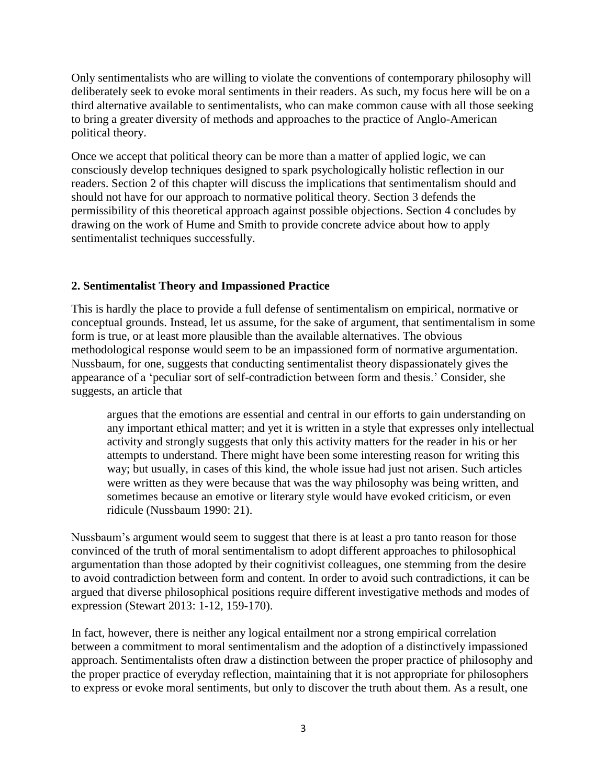Only sentimentalists who are willing to violate the conventions of contemporary philosophy will deliberately seek to evoke moral sentiments in their readers. As such, my focus here will be on a third alternative available to sentimentalists, who can make common cause with all those seeking to bring a greater diversity of methods and approaches to the practice of Anglo-American political theory.

Once we accept that political theory can be more than a matter of applied logic, we can consciously develop techniques designed to spark psychologically holistic reflection in our readers. Section 2 of this chapter will discuss the implications that sentimentalism should and should not have for our approach to normative political theory. Section 3 defends the permissibility of this theoretical approach against possible objections. Section 4 concludes by drawing on the work of Hume and Smith to provide concrete advice about how to apply sentimentalist techniques successfully.

# **2. Sentimentalist Theory and Impassioned Practice**

This is hardly the place to provide a full defense of sentimentalism on empirical, normative or conceptual grounds. Instead, let us assume, for the sake of argument, that sentimentalism in some form is true, or at least more plausible than the available alternatives. The obvious methodological response would seem to be an impassioned form of normative argumentation. Nussbaum, for one, suggests that conducting sentimentalist theory dispassionately gives the appearance of a 'peculiar sort of self-contradiction between form and thesis.' Consider, she suggests, an article that

argues that the emotions are essential and central in our efforts to gain understanding on any important ethical matter; and yet it is written in a style that expresses only intellectual activity and strongly suggests that only this activity matters for the reader in his or her attempts to understand. There might have been some interesting reason for writing this way; but usually, in cases of this kind, the whole issue had just not arisen. Such articles were written as they were because that was the way philosophy was being written, and sometimes because an emotive or literary style would have evoked criticism, or even ridicule (Nussbaum 1990: 21).

Nussbaum's argument would seem to suggest that there is at least a pro tanto reason for those convinced of the truth of moral sentimentalism to adopt different approaches to philosophical argumentation than those adopted by their cognitivist colleagues, one stemming from the desire to avoid contradiction between form and content. In order to avoid such contradictions, it can be argued that diverse philosophical positions require different investigative methods and modes of expression (Stewart 2013: 1-12, 159-170).

In fact, however, there is neither any logical entailment nor a strong empirical correlation between a commitment to moral sentimentalism and the adoption of a distinctively impassioned approach. Sentimentalists often draw a distinction between the proper practice of philosophy and the proper practice of everyday reflection, maintaining that it is not appropriate for philosophers to express or evoke moral sentiments, but only to discover the truth about them. As a result, one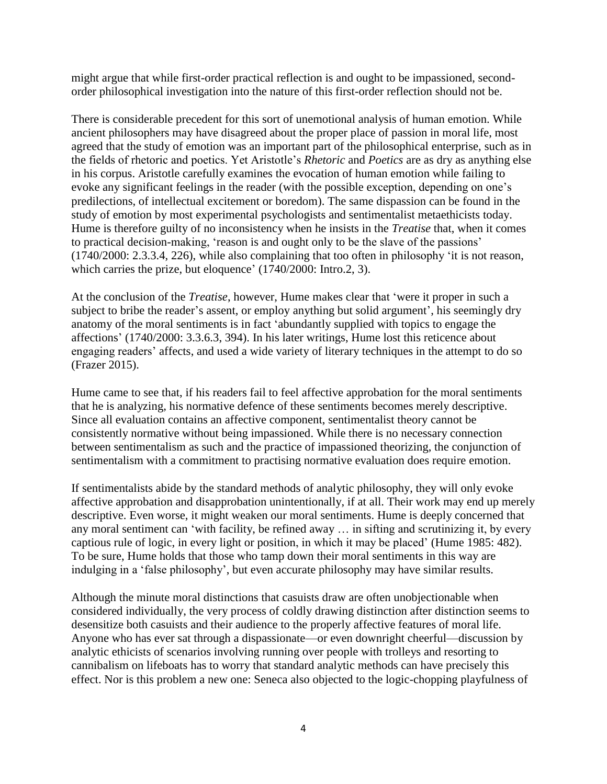might argue that while first-order practical reflection is and ought to be impassioned, secondorder philosophical investigation into the nature of this first-order reflection should not be.

There is considerable precedent for this sort of unemotional analysis of human emotion. While ancient philosophers may have disagreed about the proper place of passion in moral life, most agreed that the study of emotion was an important part of the philosophical enterprise, such as in the fields of rhetoric and poetics. Yet Aristotle's *Rhetoric* and *Poetics* are as dry as anything else in his corpus. Aristotle carefully examines the evocation of human emotion while failing to evoke any significant feelings in the reader (with the possible exception, depending on one's predilections, of intellectual excitement or boredom). The same dispassion can be found in the study of emotion by most experimental psychologists and sentimentalist metaethicists today. Hume is therefore guilty of no inconsistency when he insists in the *Treatise* that, when it comes to practical decision-making, 'reason is and ought only to be the slave of the passions' (1740/2000: 2.3.3.4, 226), while also complaining that too often in philosophy 'it is not reason, which carries the prize, but eloquence' (1740/2000: Intro.2, 3).

At the conclusion of the *Treatise*, however, Hume makes clear that 'were it proper in such a subject to bribe the reader's assent, or employ anything but solid argument', his seemingly dry anatomy of the moral sentiments is in fact 'abundantly supplied with topics to engage the affections' (1740/2000: 3.3.6.3, 394). In his later writings, Hume lost this reticence about engaging readers' affects, and used a wide variety of literary techniques in the attempt to do so (Frazer 2015).

Hume came to see that, if his readers fail to feel affective approbation for the moral sentiments that he is analyzing, his normative defence of these sentiments becomes merely descriptive. Since all evaluation contains an affective component, sentimentalist theory cannot be consistently normative without being impassioned. While there is no necessary connection between sentimentalism as such and the practice of impassioned theorizing, the conjunction of sentimentalism with a commitment to practising normative evaluation does require emotion.

If sentimentalists abide by the standard methods of analytic philosophy, they will only evoke affective approbation and disapprobation unintentionally, if at all. Their work may end up merely descriptive. Even worse, it might weaken our moral sentiments. Hume is deeply concerned that any moral sentiment can 'with facility, be refined away … in sifting and scrutinizing it, by every captious rule of logic, in every light or position, in which it may be placed' (Hume 1985: 482). To be sure, Hume holds that those who tamp down their moral sentiments in this way are indulging in a 'false philosophy', but even accurate philosophy may have similar results.

Although the minute moral distinctions that casuists draw are often unobjectionable when considered individually, the very process of coldly drawing distinction after distinction seems to desensitize both casuists and their audience to the properly affective features of moral life. Anyone who has ever sat through a dispassionate—or even downright cheerful—discussion by analytic ethicists of scenarios involving running over people with trolleys and resorting to cannibalism on lifeboats has to worry that standard analytic methods can have precisely this effect. Nor is this problem a new one: Seneca also objected to the logic-chopping playfulness of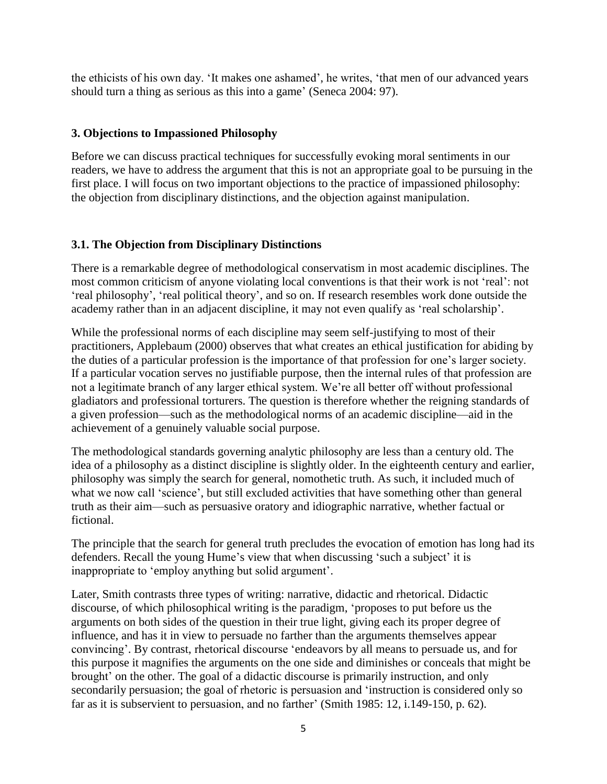the ethicists of his own day. 'It makes one ashamed', he writes, 'that men of our advanced years should turn a thing as serious as this into a game' (Seneca 2004: 97).

## **3. Objections to Impassioned Philosophy**

Before we can discuss practical techniques for successfully evoking moral sentiments in our readers, we have to address the argument that this is not an appropriate goal to be pursuing in the first place. I will focus on two important objections to the practice of impassioned philosophy: the objection from disciplinary distinctions, and the objection against manipulation.

### **3.1. The Objection from Disciplinary Distinctions**

There is a remarkable degree of methodological conservatism in most academic disciplines. The most common criticism of anyone violating local conventions is that their work is not 'real': not 'real philosophy', 'real political theory', and so on. If research resembles work done outside the academy rather than in an adjacent discipline, it may not even qualify as 'real scholarship'.

While the professional norms of each discipline may seem self-justifying to most of their practitioners, Applebaum (2000) observes that what creates an ethical justification for abiding by the duties of a particular profession is the importance of that profession for one's larger society. If a particular vocation serves no justifiable purpose, then the internal rules of that profession are not a legitimate branch of any larger ethical system. We're all better off without professional gladiators and professional torturers. The question is therefore whether the reigning standards of a given profession—such as the methodological norms of an academic discipline—aid in the achievement of a genuinely valuable social purpose.

The methodological standards governing analytic philosophy are less than a century old. The idea of a philosophy as a distinct discipline is slightly older. In the eighteenth century and earlier, philosophy was simply the search for general, nomothetic truth. As such, it included much of what we now call 'science', but still excluded activities that have something other than general truth as their aim—such as persuasive oratory and idiographic narrative, whether factual or fictional.

The principle that the search for general truth precludes the evocation of emotion has long had its defenders. Recall the young Hume's view that when discussing 'such a subject' it is inappropriate to 'employ anything but solid argument'.

Later, Smith contrasts three types of writing: narrative, didactic and rhetorical. Didactic discourse, of which philosophical writing is the paradigm, 'proposes to put before us the arguments on both sides of the question in their true light, giving each its proper degree of influence, and has it in view to persuade no farther than the arguments themselves appear convincing'. By contrast, rhetorical discourse 'endeavors by all means to persuade us, and for this purpose it magnifies the arguments on the one side and diminishes or conceals that might be brought' on the other. The goal of a didactic discourse is primarily instruction, and only secondarily persuasion; the goal of rhetoric is persuasion and 'instruction is considered only so far as it is subservient to persuasion, and no farther' (Smith 1985: 12, i.149-150, p. 62).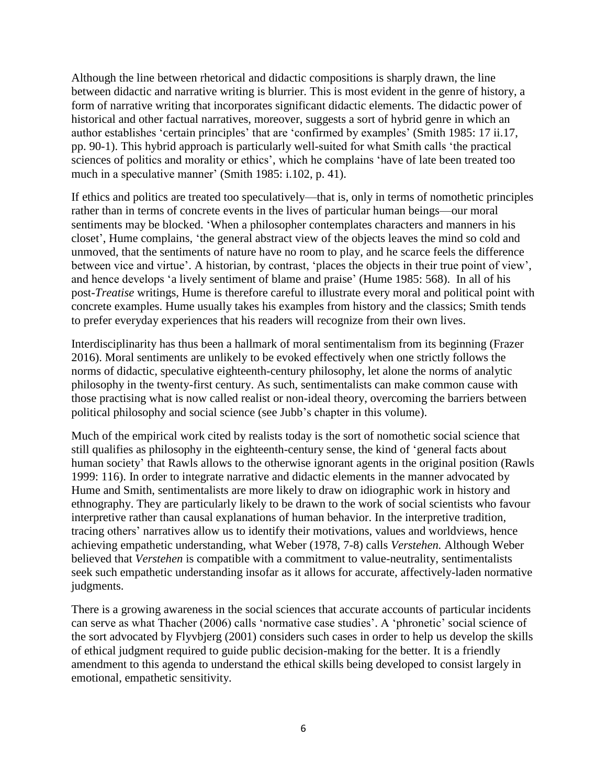Although the line between rhetorical and didactic compositions is sharply drawn, the line between didactic and narrative writing is blurrier. This is most evident in the genre of history, a form of narrative writing that incorporates significant didactic elements. The didactic power of historical and other factual narratives, moreover, suggests a sort of hybrid genre in which an author establishes 'certain principles' that are 'confirmed by examples' (Smith 1985: 17 ii.17, pp. 90-1). This hybrid approach is particularly well-suited for what Smith calls 'the practical sciences of politics and morality or ethics', which he complains 'have of late been treated too much in a speculative manner' (Smith 1985: i.102, p. 41).

If ethics and politics are treated too speculatively—that is, only in terms of nomothetic principles rather than in terms of concrete events in the lives of particular human beings—our moral sentiments may be blocked. 'When a philosopher contemplates characters and manners in his closet', Hume complains, 'the general abstract view of the objects leaves the mind so cold and unmoved, that the sentiments of nature have no room to play, and he scarce feels the difference between vice and virtue'. A historian, by contrast, 'places the objects in their true point of view', and hence develops 'a lively sentiment of blame and praise' (Hume 1985: 568). In all of his post-*Treatise* writings, Hume is therefore careful to illustrate every moral and political point with concrete examples. Hume usually takes his examples from history and the classics; Smith tends to prefer everyday experiences that his readers will recognize from their own lives.

Interdisciplinarity has thus been a hallmark of moral sentimentalism from its beginning (Frazer 2016). Moral sentiments are unlikely to be evoked effectively when one strictly follows the norms of didactic, speculative eighteenth-century philosophy, let alone the norms of analytic philosophy in the twenty-first century. As such, sentimentalists can make common cause with those practising what is now called realist or non-ideal theory, overcoming the barriers between political philosophy and social science (see Jubb's chapter in this volume).

Much of the empirical work cited by realists today is the sort of nomothetic social science that still qualifies as philosophy in the eighteenth-century sense, the kind of 'general facts about human society' that Rawls allows to the otherwise ignorant agents in the original position (Rawls 1999: 116). In order to integrate narrative and didactic elements in the manner advocated by Hume and Smith, sentimentalists are more likely to draw on idiographic work in history and ethnography. They are particularly likely to be drawn to the work of social scientists who favour interpretive rather than causal explanations of human behavior. In the interpretive tradition, tracing others' narratives allow us to identify their motivations, values and worldviews, hence achieving empathetic understanding, what Weber (1978, 7-8) calls *Verstehen.* Although Weber believed that *Verstehen* is compatible with a commitment to value-neutrality, sentimentalists seek such empathetic understanding insofar as it allows for accurate, affectively-laden normative judgments.

There is a growing awareness in the social sciences that accurate accounts of particular incidents can serve as what Thacher (2006) calls 'normative case studies'. A 'phronetic' social science of the sort advocated by Flyvbjerg (2001) considers such cases in order to help us develop the skills of ethical judgment required to guide public decision-making for the better. It is a friendly amendment to this agenda to understand the ethical skills being developed to consist largely in emotional, empathetic sensitivity.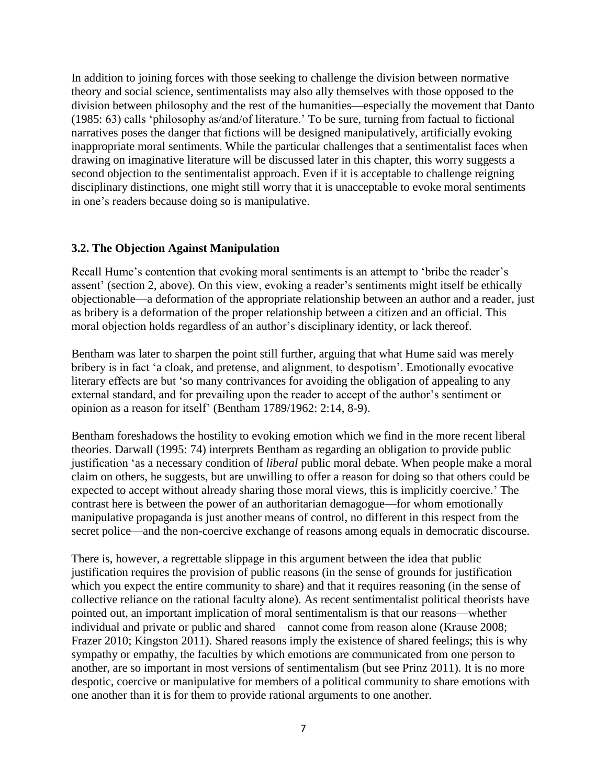In addition to joining forces with those seeking to challenge the division between normative theory and social science, sentimentalists may also ally themselves with those opposed to the division between philosophy and the rest of the humanities—especially the movement that Danto (1985: 63) calls 'philosophy as/and/of literature.' To be sure, turning from factual to fictional narratives poses the danger that fictions will be designed manipulatively, artificially evoking inappropriate moral sentiments. While the particular challenges that a sentimentalist faces when drawing on imaginative literature will be discussed later in this chapter, this worry suggests a second objection to the sentimentalist approach. Even if it is acceptable to challenge reigning disciplinary distinctions, one might still worry that it is unacceptable to evoke moral sentiments in one's readers because doing so is manipulative.

### **3.2. The Objection Against Manipulation**

Recall Hume's contention that evoking moral sentiments is an attempt to 'bribe the reader's assent' (section 2, above). On this view, evoking a reader's sentiments might itself be ethically objectionable—a deformation of the appropriate relationship between an author and a reader, just as bribery is a deformation of the proper relationship between a citizen and an official. This moral objection holds regardless of an author's disciplinary identity, or lack thereof.

Bentham was later to sharpen the point still further, arguing that what Hume said was merely bribery is in fact 'a cloak, and pretense, and alignment, to despotism'. Emotionally evocative literary effects are but 'so many contrivances for avoiding the obligation of appealing to any external standard, and for prevailing upon the reader to accept of the author's sentiment or opinion as a reason for itself' (Bentham 1789/1962: 2:14, 8-9).

Bentham foreshadows the hostility to evoking emotion which we find in the more recent liberal theories. Darwall (1995: 74) interprets Bentham as regarding an obligation to provide public justification 'as a necessary condition of *liberal* public moral debate. When people make a moral claim on others, he suggests, but are unwilling to offer a reason for doing so that others could be expected to accept without already sharing those moral views, this is implicitly coercive.' The contrast here is between the power of an authoritarian demagogue—for whom emotionally manipulative propaganda is just another means of control, no different in this respect from the secret police—and the non-coercive exchange of reasons among equals in democratic discourse.

There is, however, a regrettable slippage in this argument between the idea that public justification requires the provision of public reasons (in the sense of grounds for justification which you expect the entire community to share) and that it requires reasoning (in the sense of collective reliance on the rational faculty alone). As recent sentimentalist political theorists have pointed out, an important implication of moral sentimentalism is that our reasons—whether individual and private or public and shared—cannot come from reason alone (Krause 2008; Frazer 2010; Kingston 2011). Shared reasons imply the existence of shared feelings; this is why sympathy or empathy, the faculties by which emotions are communicated from one person to another, are so important in most versions of sentimentalism (but see Prinz 2011). It is no more despotic, coercive or manipulative for members of a political community to share emotions with one another than it is for them to provide rational arguments to one another.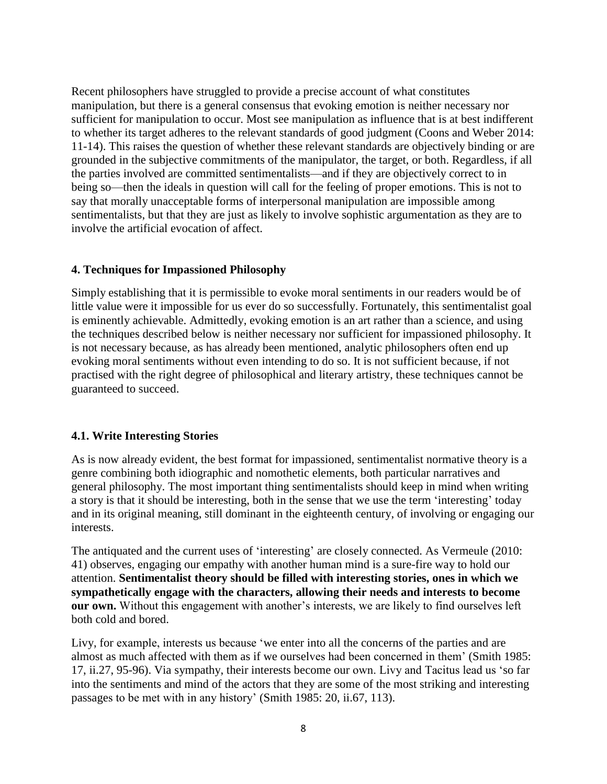Recent philosophers have struggled to provide a precise account of what constitutes manipulation, but there is a general consensus that evoking emotion is neither necessary nor sufficient for manipulation to occur. Most see manipulation as influence that is at best indifferent to whether its target adheres to the relevant standards of good judgment (Coons and Weber 2014: 11-14). This raises the question of whether these relevant standards are objectively binding or are grounded in the subjective commitments of the manipulator, the target, or both. Regardless, if all the parties involved are committed sentimentalists—and if they are objectively correct to in being so—then the ideals in question will call for the feeling of proper emotions. This is not to say that morally unacceptable forms of interpersonal manipulation are impossible among sentimentalists, but that they are just as likely to involve sophistic argumentation as they are to involve the artificial evocation of affect.

### **4. Techniques for Impassioned Philosophy**

Simply establishing that it is permissible to evoke moral sentiments in our readers would be of little value were it impossible for us ever do so successfully. Fortunately, this sentimentalist goal is eminently achievable. Admittedly, evoking emotion is an art rather than a science, and using the techniques described below is neither necessary nor sufficient for impassioned philosophy. It is not necessary because, as has already been mentioned, analytic philosophers often end up evoking moral sentiments without even intending to do so. It is not sufficient because, if not practised with the right degree of philosophical and literary artistry, these techniques cannot be guaranteed to succeed.

## **4.1. Write Interesting Stories**

As is now already evident, the best format for impassioned, sentimentalist normative theory is a genre combining both idiographic and nomothetic elements, both particular narratives and general philosophy. The most important thing sentimentalists should keep in mind when writing a story is that it should be interesting, both in the sense that we use the term 'interesting' today and in its original meaning, still dominant in the eighteenth century, of involving or engaging our interests.

The antiquated and the current uses of 'interesting' are closely connected. As Vermeule (2010: 41) observes, engaging our empathy with another human mind is a sure-fire way to hold our attention. **Sentimentalist theory should be filled with interesting stories, ones in which we sympathetically engage with the characters, allowing their needs and interests to become our own.** Without this engagement with another's interests, we are likely to find ourselves left both cold and bored.

Livy, for example, interests us because 'we enter into all the concerns of the parties and are almost as much affected with them as if we ourselves had been concerned in them' (Smith 1985: 17, ii.27, 95-96). Via sympathy, their interests become our own. Livy and Tacitus lead us 'so far into the sentiments and mind of the actors that they are some of the most striking and interesting passages to be met with in any history' (Smith 1985: 20, ii.67, 113).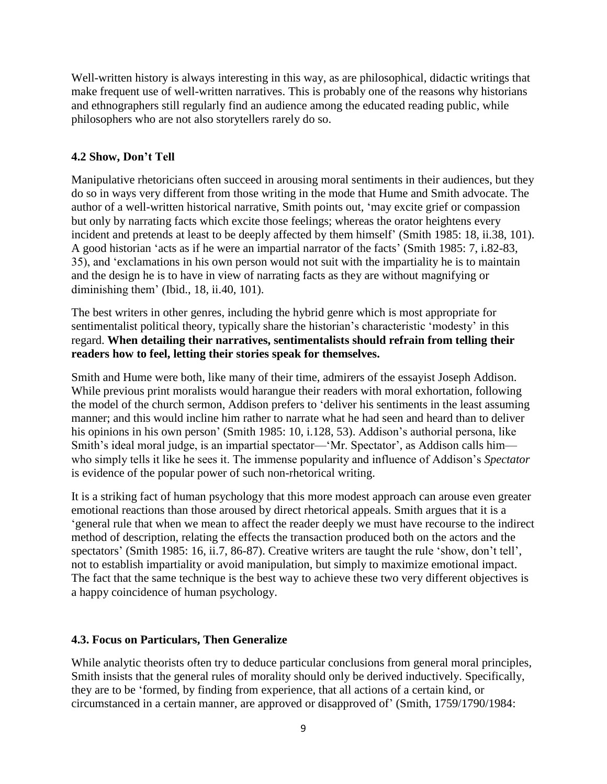Well-written history is always interesting in this way, as are philosophical, didactic writings that make frequent use of well-written narratives. This is probably one of the reasons why historians and ethnographers still regularly find an audience among the educated reading public, while philosophers who are not also storytellers rarely do so.

## **4.2 Show, Don't Tell**

Manipulative rhetoricians often succeed in arousing moral sentiments in their audiences, but they do so in ways very different from those writing in the mode that Hume and Smith advocate. The author of a well-written historical narrative, Smith points out, 'may excite grief or compassion but only by narrating facts which excite those feelings; whereas the orator heightens every incident and pretends at least to be deeply affected by them himself' (Smith 1985: 18, ii.38, 101). A good historian 'acts as if he were an impartial narrator of the facts' (Smith 1985: 7, i.82-83, 35), and 'exclamations in his own person would not suit with the impartiality he is to maintain and the design he is to have in view of narrating facts as they are without magnifying or diminishing them' (Ibid., 18, ii.40, 101).

The best writers in other genres, including the hybrid genre which is most appropriate for sentimentalist political theory, typically share the historian's characteristic 'modesty' in this regard. **When detailing their narratives, sentimentalists should refrain from telling their readers how to feel, letting their stories speak for themselves.** 

Smith and Hume were both, like many of their time, admirers of the essayist Joseph Addison. While previous print moralists would harangue their readers with moral exhortation, following the model of the church sermon, Addison prefers to 'deliver his sentiments in the least assuming manner; and this would incline him rather to narrate what he had seen and heard than to deliver his opinions in his own person' (Smith 1985: 10, i.128, 53). Addison's authorial persona, like Smith's ideal moral judge, is an impartial spectator—'Mr. Spectator', as Addison calls him who simply tells it like he sees it. The immense popularity and influence of Addison's *Spectator* is evidence of the popular power of such non-rhetorical writing.

It is a striking fact of human psychology that this more modest approach can arouse even greater emotional reactions than those aroused by direct rhetorical appeals. Smith argues that it is a 'general rule that when we mean to affect the reader deeply we must have recourse to the indirect method of description, relating the effects the transaction produced both on the actors and the spectators' (Smith 1985: 16, ii.7, 86-87). Creative writers are taught the rule 'show, don't tell', not to establish impartiality or avoid manipulation, but simply to maximize emotional impact. The fact that the same technique is the best way to achieve these two very different objectives is a happy coincidence of human psychology.

### **4.3. Focus on Particulars, Then Generalize**

While analytic theorists often try to deduce particular conclusions from general moral principles, Smith insists that the general rules of morality should only be derived inductively. Specifically, they are to be 'formed, by finding from experience, that all actions of a certain kind, or circumstanced in a certain manner, are approved or disapproved of' (Smith, 1759/1790/1984: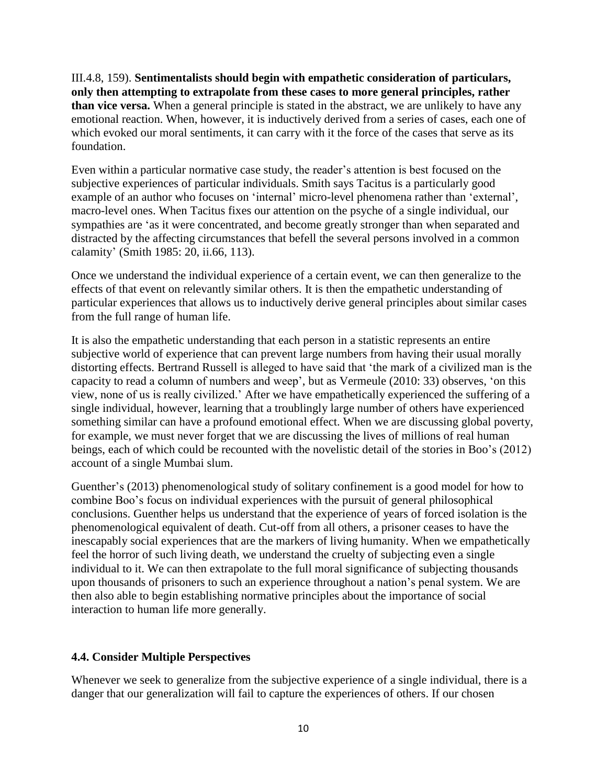III.4.8, 159). **Sentimentalists should begin with empathetic consideration of particulars, only then attempting to extrapolate from these cases to more general principles, rather than vice versa.** When a general principle is stated in the abstract, we are unlikely to have any emotional reaction. When, however, it is inductively derived from a series of cases, each one of which evoked our moral sentiments, it can carry with it the force of the cases that serve as its foundation.

Even within a particular normative case study, the reader's attention is best focused on the subjective experiences of particular individuals. Smith says Tacitus is a particularly good example of an author who focuses on 'internal' micro-level phenomena rather than 'external', macro-level ones. When Tacitus fixes our attention on the psyche of a single individual, our sympathies are 'as it were concentrated, and become greatly stronger than when separated and distracted by the affecting circumstances that befell the several persons involved in a common calamity' (Smith 1985: 20, ii.66, 113).

Once we understand the individual experience of a certain event, we can then generalize to the effects of that event on relevantly similar others. It is then the empathetic understanding of particular experiences that allows us to inductively derive general principles about similar cases from the full range of human life.

It is also the empathetic understanding that each person in a statistic represents an entire subjective world of experience that can prevent large numbers from having their usual morally distorting effects. Bertrand Russell is alleged to have said that 'the mark of a civilized man is the capacity to read a column of numbers and weep', but as Vermeule (2010: 33) observes, 'on this view, none of us is really civilized.' After we have empathetically experienced the suffering of a single individual, however, learning that a troublingly large number of others have experienced something similar can have a profound emotional effect. When we are discussing global poverty, for example, we must never forget that we are discussing the lives of millions of real human beings, each of which could be recounted with the novelistic detail of the stories in Boo's (2012) account of a single Mumbai slum.

Guenther's (2013) phenomenological study of solitary confinement is a good model for how to combine Boo's focus on individual experiences with the pursuit of general philosophical conclusions. Guenther helps us understand that the experience of years of forced isolation is the phenomenological equivalent of death. Cut-off from all others, a prisoner ceases to have the inescapably social experiences that are the markers of living humanity. When we empathetically feel the horror of such living death, we understand the cruelty of subjecting even a single individual to it. We can then extrapolate to the full moral significance of subjecting thousands upon thousands of prisoners to such an experience throughout a nation's penal system. We are then also able to begin establishing normative principles about the importance of social interaction to human life more generally.

## **4.4. Consider Multiple Perspectives**

Whenever we seek to generalize from the subjective experience of a single individual, there is a danger that our generalization will fail to capture the experiences of others. If our chosen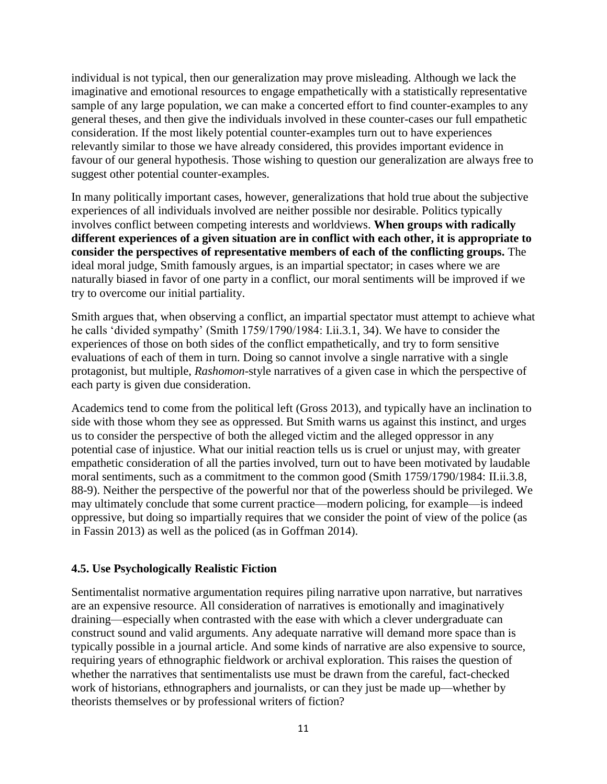individual is not typical, then our generalization may prove misleading. Although we lack the imaginative and emotional resources to engage empathetically with a statistically representative sample of any large population, we can make a concerted effort to find counter-examples to any general theses, and then give the individuals involved in these counter-cases our full empathetic consideration. If the most likely potential counter-examples turn out to have experiences relevantly similar to those we have already considered, this provides important evidence in favour of our general hypothesis. Those wishing to question our generalization are always free to suggest other potential counter-examples.

In many politically important cases, however, generalizations that hold true about the subjective experiences of all individuals involved are neither possible nor desirable. Politics typically involves conflict between competing interests and worldviews. **When groups with radically different experiences of a given situation are in conflict with each other, it is appropriate to consider the perspectives of representative members of each of the conflicting groups.** The ideal moral judge, Smith famously argues, is an impartial spectator; in cases where we are naturally biased in favor of one party in a conflict, our moral sentiments will be improved if we try to overcome our initial partiality.

Smith argues that, when observing a conflict, an impartial spectator must attempt to achieve what he calls 'divided sympathy' (Smith 1759/1790/1984: I.ii.3.1, 34). We have to consider the experiences of those on both sides of the conflict empathetically, and try to form sensitive evaluations of each of them in turn. Doing so cannot involve a single narrative with a single protagonist, but multiple, *Rashomon*-style narratives of a given case in which the perspective of each party is given due consideration.

Academics tend to come from the political left (Gross 2013), and typically have an inclination to side with those whom they see as oppressed. But Smith warns us against this instinct, and urges us to consider the perspective of both the alleged victim and the alleged oppressor in any potential case of injustice. What our initial reaction tells us is cruel or unjust may, with greater empathetic consideration of all the parties involved, turn out to have been motivated by laudable moral sentiments, such as a commitment to the common good (Smith 1759/1790/1984: II.ii.3.8, 88-9). Neither the perspective of the powerful nor that of the powerless should be privileged. We may ultimately conclude that some current practice—modern policing, for example—is indeed oppressive, but doing so impartially requires that we consider the point of view of the police (as in Fassin 2013) as well as the policed (as in Goffman 2014).

### **4.5. Use Psychologically Realistic Fiction**

Sentimentalist normative argumentation requires piling narrative upon narrative, but narratives are an expensive resource. All consideration of narratives is emotionally and imaginatively draining—especially when contrasted with the ease with which a clever undergraduate can construct sound and valid arguments. Any adequate narrative will demand more space than is typically possible in a journal article. And some kinds of narrative are also expensive to source, requiring years of ethnographic fieldwork or archival exploration. This raises the question of whether the narratives that sentimentalists use must be drawn from the careful, fact-checked work of historians, ethnographers and journalists, or can they just be made up—whether by theorists themselves or by professional writers of fiction?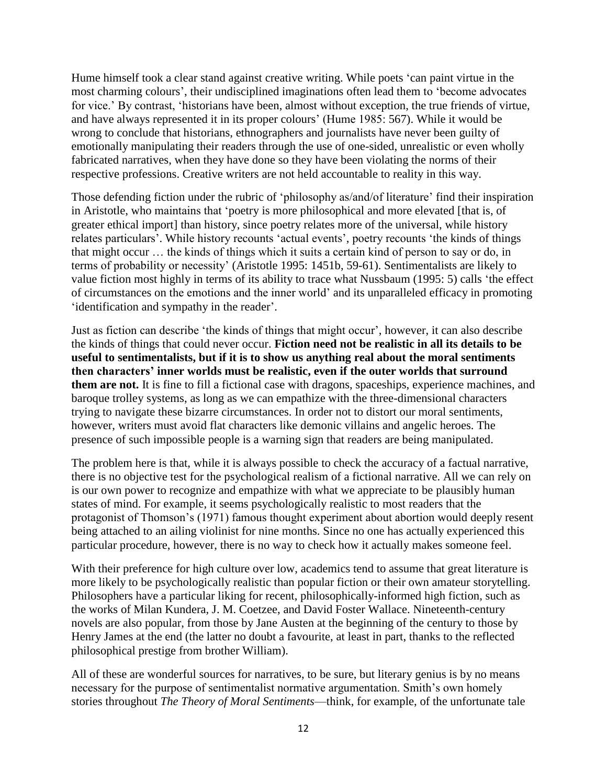Hume himself took a clear stand against creative writing. While poets 'can paint virtue in the most charming colours', their undisciplined imaginations often lead them to 'become advocates for vice.' By contrast, 'historians have been, almost without exception, the true friends of virtue, and have always represented it in its proper colours' (Hume 1985: 567). While it would be wrong to conclude that historians, ethnographers and journalists have never been guilty of emotionally manipulating their readers through the use of one-sided, unrealistic or even wholly fabricated narratives, when they have done so they have been violating the norms of their respective professions. Creative writers are not held accountable to reality in this way.

Those defending fiction under the rubric of 'philosophy as/and/of literature' find their inspiration in Aristotle, who maintains that 'poetry is more philosophical and more elevated [that is, of greater ethical import] than history, since poetry relates more of the universal, while history relates particulars'. While history recounts 'actual events', poetry recounts 'the kinds of things that might occur … the kinds of things which it suits a certain kind of person to say or do, in terms of probability or necessity' (Aristotle 1995: 1451b, 59-61). Sentimentalists are likely to value fiction most highly in terms of its ability to trace what Nussbaum (1995: 5) calls 'the effect of circumstances on the emotions and the inner world' and its unparalleled efficacy in promoting 'identification and sympathy in the reader'.

Just as fiction can describe 'the kinds of things that might occur', however, it can also describe the kinds of things that could never occur. **Fiction need not be realistic in all its details to be useful to sentimentalists, but if it is to show us anything real about the moral sentiments then characters' inner worlds must be realistic, even if the outer worlds that surround them are not.** It is fine to fill a fictional case with dragons, spaceships, experience machines, and baroque trolley systems, as long as we can empathize with the three-dimensional characters trying to navigate these bizarre circumstances. In order not to distort our moral sentiments, however, writers must avoid flat characters like demonic villains and angelic heroes. The presence of such impossible people is a warning sign that readers are being manipulated.

The problem here is that, while it is always possible to check the accuracy of a factual narrative, there is no objective test for the psychological realism of a fictional narrative. All we can rely on is our own power to recognize and empathize with what we appreciate to be plausibly human states of mind. For example, it seems psychologically realistic to most readers that the protagonist of Thomson's (1971) famous thought experiment about abortion would deeply resent being attached to an ailing violinist for nine months. Since no one has actually experienced this particular procedure, however, there is no way to check how it actually makes someone feel.

With their preference for high culture over low, academics tend to assume that great literature is more likely to be psychologically realistic than popular fiction or their own amateur storytelling. Philosophers have a particular liking for recent, philosophically-informed high fiction, such as the works of Milan Kundera, J. M. Coetzee, and David Foster Wallace. Nineteenth-century novels are also popular, from those by Jane Austen at the beginning of the century to those by Henry James at the end (the latter no doubt a favourite, at least in part, thanks to the reflected philosophical prestige from brother William).

All of these are wonderful sources for narratives, to be sure, but literary genius is by no means necessary for the purpose of sentimentalist normative argumentation. Smith's own homely stories throughout *The Theory of Moral Sentiments*—think, for example, of the unfortunate tale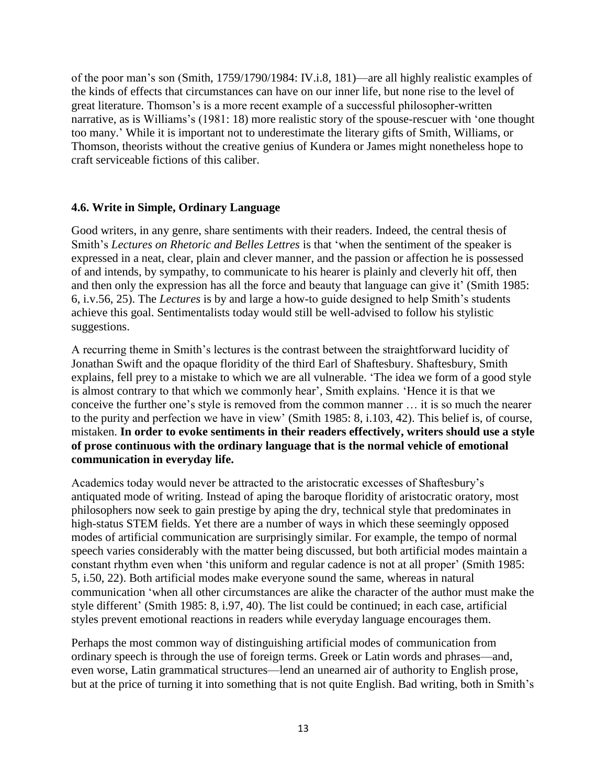of the poor man's son (Smith, 1759/1790/1984: IV.i.8, 181)—are all highly realistic examples of the kinds of effects that circumstances can have on our inner life, but none rise to the level of great literature. Thomson's is a more recent example of a successful philosopher-written narrative, as is Williams's (1981: 18) more realistic story of the spouse-rescuer with 'one thought too many.' While it is important not to underestimate the literary gifts of Smith, Williams, or Thomson, theorists without the creative genius of Kundera or James might nonetheless hope to craft serviceable fictions of this caliber.

### **4.6. Write in Simple, Ordinary Language**

Good writers, in any genre, share sentiments with their readers. Indeed, the central thesis of Smith's *Lectures on Rhetoric and Belles Lettres* is that 'when the sentiment of the speaker is expressed in a neat, clear, plain and clever manner, and the passion or affection he is possessed of and intends, by sympathy, to communicate to his hearer is plainly and cleverly hit off, then and then only the expression has all the force and beauty that language can give it' (Smith 1985: 6, i.v.56, 25). The *Lectures* is by and large a how-to guide designed to help Smith's students achieve this goal. Sentimentalists today would still be well-advised to follow his stylistic suggestions.

A recurring theme in Smith's lectures is the contrast between the straightforward lucidity of Jonathan Swift and the opaque floridity of the third Earl of Shaftesbury. Shaftesbury, Smith explains, fell prey to a mistake to which we are all vulnerable. 'The idea we form of a good style is almost contrary to that which we commonly hear', Smith explains. 'Hence it is that we conceive the further one's style is removed from the common manner … it is so much the nearer to the purity and perfection we have in view' (Smith 1985: 8, i.103, 42). This belief is, of course, mistaken. **In order to evoke sentiments in their readers effectively, writers should use a style of prose continuous with the ordinary language that is the normal vehicle of emotional communication in everyday life.**

Academics today would never be attracted to the aristocratic excesses of Shaftesbury's antiquated mode of writing. Instead of aping the baroque floridity of aristocratic oratory, most philosophers now seek to gain prestige by aping the dry, technical style that predominates in high-status STEM fields. Yet there are a number of ways in which these seemingly opposed modes of artificial communication are surprisingly similar. For example, the tempo of normal speech varies considerably with the matter being discussed, but both artificial modes maintain a constant rhythm even when 'this uniform and regular cadence is not at all proper' (Smith 1985: 5, i.50, 22). Both artificial modes make everyone sound the same, whereas in natural communication 'when all other circumstances are alike the character of the author must make the style different' (Smith 1985: 8, i.97, 40). The list could be continued; in each case, artificial styles prevent emotional reactions in readers while everyday language encourages them.

Perhaps the most common way of distinguishing artificial modes of communication from ordinary speech is through the use of foreign terms. Greek or Latin words and phrases—and, even worse, Latin grammatical structures—lend an unearned air of authority to English prose, but at the price of turning it into something that is not quite English. Bad writing, both in Smith's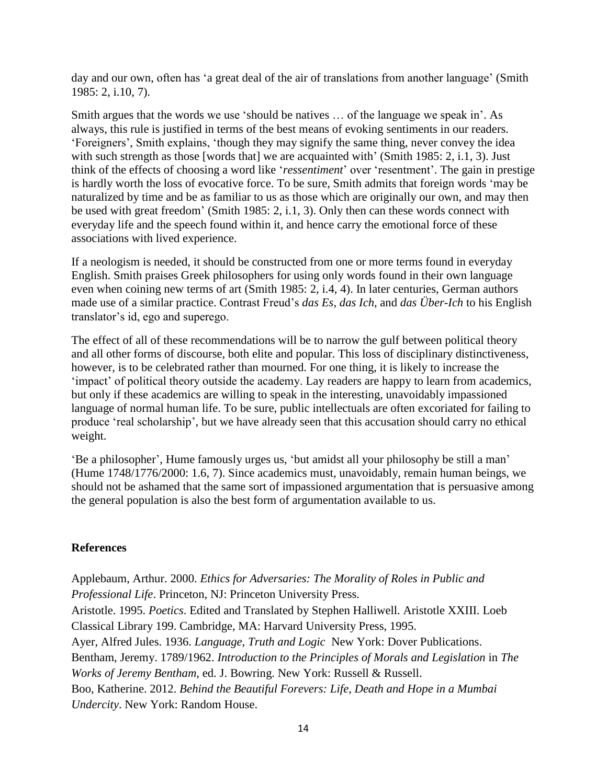day and our own, often has 'a great deal of the air of translations from another language' (Smith 1985: 2, i.10, 7).

Smith argues that the words we use 'should be natives … of the language we speak in'. As always, this rule is justified in terms of the best means of evoking sentiments in our readers. 'Foreigners', Smith explains, 'though they may signify the same thing, never convey the idea with such strength as those [words that] we are acquainted with' (Smith 1985: 2, i.1, 3). Just think of the effects of choosing a word like '*ressentiment*' over 'resentment'. The gain in prestige is hardly worth the loss of evocative force. To be sure, Smith admits that foreign words 'may be naturalized by time and be as familiar to us as those which are originally our own, and may then be used with great freedom' (Smith 1985: 2, i.1, 3). Only then can these words connect with everyday life and the speech found within it, and hence carry the emotional force of these associations with lived experience.

If a neologism is needed, it should be constructed from one or more terms found in everyday English. Smith praises Greek philosophers for using only words found in their own language even when coining new terms of art (Smith 1985: 2, i.4, 4). In later centuries, German authors made use of a similar practice. Contrast Freud's *das Es, das Ich*, and *das Über-Ich* to his English translator's id, ego and superego.

The effect of all of these recommendations will be to narrow the gulf between political theory and all other forms of discourse, both elite and popular. This loss of disciplinary distinctiveness, however, is to be celebrated rather than mourned. For one thing, it is likely to increase the 'impact' of political theory outside the academy. Lay readers are happy to learn from academics, but only if these academics are willing to speak in the interesting, unavoidably impassioned language of normal human life. To be sure, public intellectuals are often excoriated for failing to produce 'real scholarship', but we have already seen that this accusation should carry no ethical weight.

'Be a philosopher', Hume famously urges us, 'but amidst all your philosophy be still a man' (Hume 1748/1776/2000: 1.6, 7). Since academics must, unavoidably, remain human beings, we should not be ashamed that the same sort of impassioned argumentation that is persuasive among the general population is also the best form of argumentation available to us.

### **References**

Applebaum, Arthur. 2000. *Ethics for Adversaries: The Morality of Roles in Public and Professional Life*. Princeton, NJ: Princeton University Press.

Aristotle. 1995. *Poetics*. Edited and Translated by Stephen Halliwell. Aristotle XXIII. Loeb Classical Library 199. Cambridge, MA: Harvard University Press, 1995.

Ayer, Alfred Jules. 1936. *Language, Truth and Logic* New York: Dover Publications. Bentham, Jeremy. 1789/1962. *Introduction to the Principles of Morals and Legislation* in *The Works of Jeremy Bentham*, ed. J. Bowring. New York: Russell & Russell. Boo, Katherine. 2012. *Behind the Beautiful Forevers: Life, Death and Hope in a Mumbai Undercity*. New York: Random House.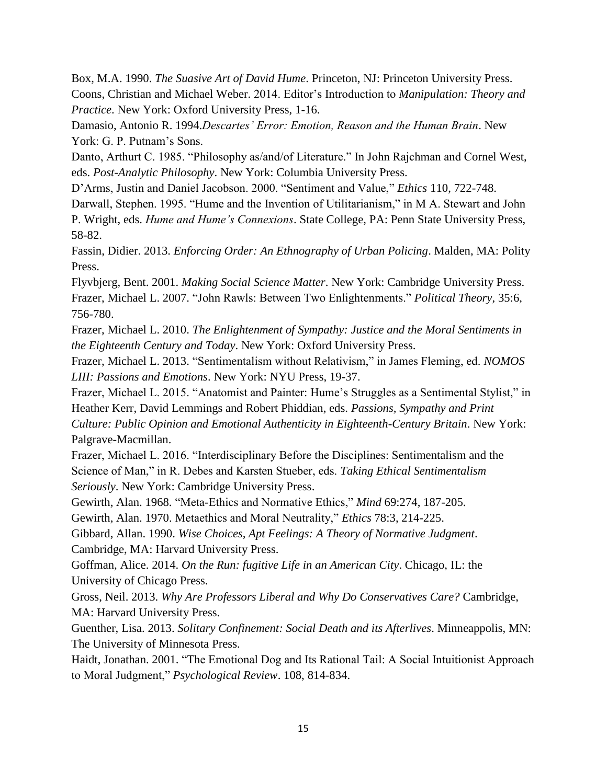Box, M.A. 1990. *The Suasive Art of David Hume*. Princeton, NJ: Princeton University Press. Coons, Christian and Michael Weber. 2014. Editor's Introduction to *Manipulation: Theory and Practice*. New York: Oxford University Press, 1-16.

Damasio, Antonio R. 1994.*Descartes' Error: Emotion, Reason and the Human Brain*. New York: G. P. Putnam's Sons.

Danto, Arthurt C. 1985. "Philosophy as/and/of Literature." In John Rajchman and Cornel West, eds. *Post-Analytic Philosophy*. New York: Columbia University Press.

D'Arms, Justin and Daniel Jacobson. 2000. "Sentiment and Value," *Ethics* 110, 722-748.

Darwall, Stephen. 1995. "Hume and the Invention of Utilitarianism," in M A. Stewart and John P. Wright, eds. *Hume and Hume's Connexions*. State College, PA: Penn State University Press, 58-82.

Fassin, Didier. 2013. *Enforcing Order: An Ethnography of Urban Policing*. Malden, MA: Polity Press.

Flyvbjerg, Bent. 2001. *Making Social Science Matter*. New York: Cambridge University Press. Frazer, Michael L. 2007. "John Rawls: Between Two Enlightenments." *Political Theory*, 35:6, 756-780.

Frazer, Michael L. 2010. *The Enlightenment of Sympathy: Justice and the Moral Sentiments in the Eighteenth Century and Today*. New York: Oxford University Press.

Frazer, Michael L. 2013. "Sentimentalism without Relativism," in James Fleming, ed. *NOMOS LIII: Passions and Emotions*. New York: NYU Press, 19-37.

Frazer, Michael L. 2015. "Anatomist and Painter: Hume's Struggles as a Sentimental Stylist," in Heather Kerr, David Lemmings and Robert Phiddian, eds. *Passions, Sympathy and Print* 

*Culture: Public Opinion and Emotional Authenticity in Eighteenth-Century Britain*. New York: Palgrave-Macmillan.

Frazer, Michael L. 2016. "Interdisciplinary Before the Disciplines: Sentimentalism and the Science of Man," in R. Debes and Karsten Stueber, eds. *Taking Ethical Sentimentalism Seriously*. New York: Cambridge University Press.

Gewirth, Alan. 1968. "Meta-Ethics and Normative Ethics," *Mind* 69:274, 187-205.

Gewirth, Alan. 1970. Metaethics and Moral Neutrality," *Ethics* 78:3, 214-225.

Gibbard, Allan. 1990. *Wise Choices, Apt Feelings: A Theory of Normative Judgment*. Cambridge, MA: Harvard University Press.

Goffman, Alice. 2014. *On the Run: fugitive Life in an American City*. Chicago, IL: the University of Chicago Press.

Gross, Neil. 2013. *Why Are Professors Liberal and Why Do Conservatives Care?* Cambridge, MA: Harvard University Press.

Guenther, Lisa. 2013. *Solitary Confinement: Social Death and its Afterlives*. Minneappolis, MN: The University of Minnesota Press.

Haidt, Jonathan. 2001. "The Emotional Dog and Its Rational Tail: A Social Intuitionist Approach to Moral Judgment," *Psychological Review*. 108, 814-834.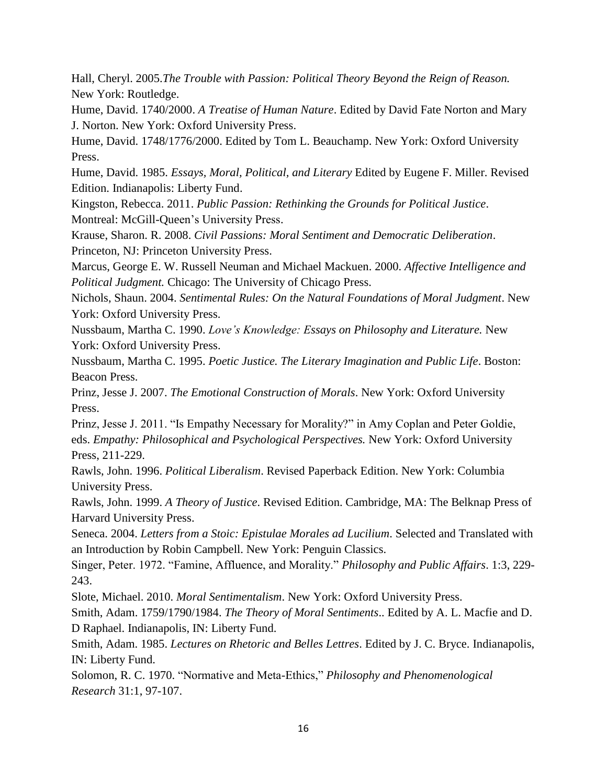Hall, Cheryl. 2005.*The Trouble with Passion: Political Theory Beyond the Reign of Reason.*  New York: Routledge.

Hume, David. 1740/2000. *A Treatise of Human Nature*. Edited by David Fate Norton and Mary J. Norton. New York: Oxford University Press.

Hume, David. 1748/1776/2000. Edited by Tom L. Beauchamp. New York: Oxford University Press.

Hume, David. 1985. *Essays, Moral, Political, and Literary* Edited by Eugene F. Miller. Revised Edition. Indianapolis: Liberty Fund.

Kingston, Rebecca. 2011. *Public Passion: Rethinking the Grounds for Political Justice*. Montreal: McGill-Queen's University Press.

Krause, Sharon. R. 2008. *Civil Passions: Moral Sentiment and Democratic Deliberation*. Princeton, NJ: Princeton University Press.

Marcus, George E. W. Russell Neuman and Michael Mackuen. 2000. *Affective Intelligence and Political Judgment.* Chicago: The University of Chicago Press.

Nichols, Shaun. 2004. *Sentimental Rules: On the Natural Foundations of Moral Judgment*. New York: Oxford University Press.

Nussbaum, Martha C. 1990. *Love's Knowledge: Essays on Philosophy and Literature.* New York: Oxford University Press.

Nussbaum, Martha C. 1995. *Poetic Justice. The Literary Imagination and Public Life*. Boston: Beacon Press.

Prinz, Jesse J. 2007. *The Emotional Construction of Morals*. New York: Oxford University Press.

Prinz, Jesse J. 2011. "Is Empathy Necessary for Morality?" in Amy Coplan and Peter Goldie, eds. *Empathy: Philosophical and Psychological Perspectives.* New York: Oxford University Press, 211-229.

Rawls, John. 1996. *Political Liberalism*. Revised Paperback Edition. New York: Columbia University Press.

Rawls, John. 1999. *A Theory of Justice*. Revised Edition. Cambridge, MA: The Belknap Press of Harvard University Press.

Seneca. 2004. *Letters from a Stoic: Epistulae Morales ad Lucilium*. Selected and Translated with an Introduction by Robin Campbell. New York: Penguin Classics.

Singer, Peter. 1972. "Famine, Affluence, and Morality." *Philosophy and Public Affairs*. 1:3, 229- 243.

Slote, Michael. 2010. *Moral Sentimentalism*. New York: Oxford University Press.

Smith, Adam. 1759/1790/1984. *The Theory of Moral Sentiments*.. Edited by A. L. Macfie and D. D Raphael. Indianapolis, IN: Liberty Fund.

Smith, Adam. 1985. *Lectures on Rhetoric and Belles Lettres*. Edited by J. C. Bryce. Indianapolis, IN: Liberty Fund.

Solomon, R. C. 1970. "Normative and Meta-Ethics," *Philosophy and Phenomenological Research* 31:1, 97-107.